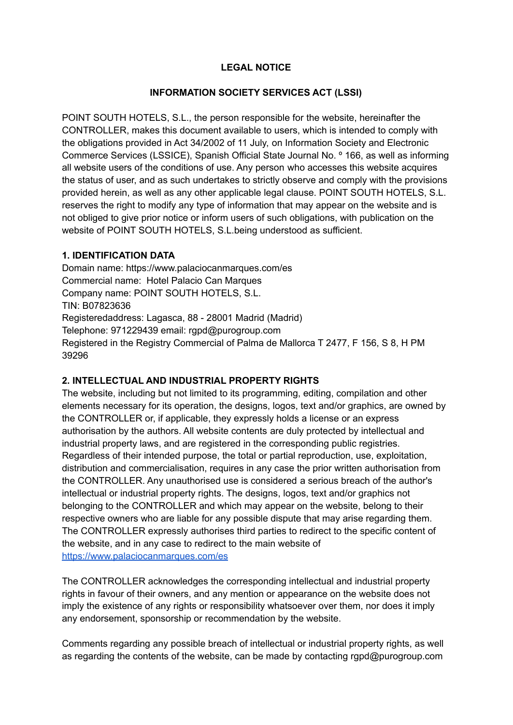### **LEGAL NOTICE**

#### **INFORMATION SOCIETY SERVICES ACT (LSSI)**

POINT SOUTH HOTELS, S.L., the person responsible for the website, hereinafter the CONTROLLER, makes this document available to users, which is intended to comply with the obligations provided in Act 34/2002 of 11 July, on Information Society and Electronic Commerce Services (LSSICE), Spanish Official State Journal No. º 166, as well as informing all website users of the conditions of use. Any person who accesses this website acquires the status of user, and as such undertakes to strictly observe and comply with the provisions provided herein, as well as any other applicable legal clause. POINT SOUTH HOTELS, S.L. reserves the right to modify any type of information that may appear on the website and is not obliged to give prior notice or inform users of such obligations, with publication on the website of POINT SOUTH HOTELS, S.L.being understood as sufficient.

#### **1. IDENTIFICATION DATA**

Domain name: https://www.palaciocanmarques.com/es Commercial name: Hotel Palacio Can Marques Company name: POINT SOUTH HOTELS, S.L. TIN: B07823636 Registeredaddress: Lagasca, 88 - 28001 Madrid (Madrid) Telephone: 971229439 email: rgpd@purogroup.com Registered in the Registry Commercial of Palma de Mallorca T 2477, F 156, S 8, H PM 39296

## **2. INTELLECTUAL AND INDUSTRIAL PROPERTY RIGHTS**

The website, including but not limited to its programming, editing, compilation and other elements necessary for its operation, the designs, logos, text and/or graphics, are owned by the CONTROLLER or, if applicable, they expressly holds a license or an express authorisation by the authors. All website contents are duly protected by intellectual and industrial property laws, and are registered in the corresponding public registries. Regardless of their intended purpose, the total or partial reproduction, use, exploitation, distribution and commercialisation, requires in any case the prior written authorisation from the CONTROLLER. Any unauthorised use is considered a serious breach of the author's intellectual or industrial property rights. The designs, logos, text and/or graphics not belonging to the CONTROLLER and which may appear on the website, belong to their respective owners who are liable for any possible dispute that may arise regarding them. The CONTROLLER expressly authorises third parties to redirect to the specific content of the website, and in any case to redirect to the main website of <https://www.palaciocanmarques.com/es>

The CONTROLLER acknowledges the corresponding intellectual and industrial property rights in favour of their owners, and any mention or appearance on the website does not imply the existence of any rights or responsibility whatsoever over them, nor does it imply any endorsement, sponsorship or recommendation by the website.

Comments regarding any possible breach of intellectual or industrial property rights, as well as regarding the contents of the website, can be made by contacting rgpd@purogroup.com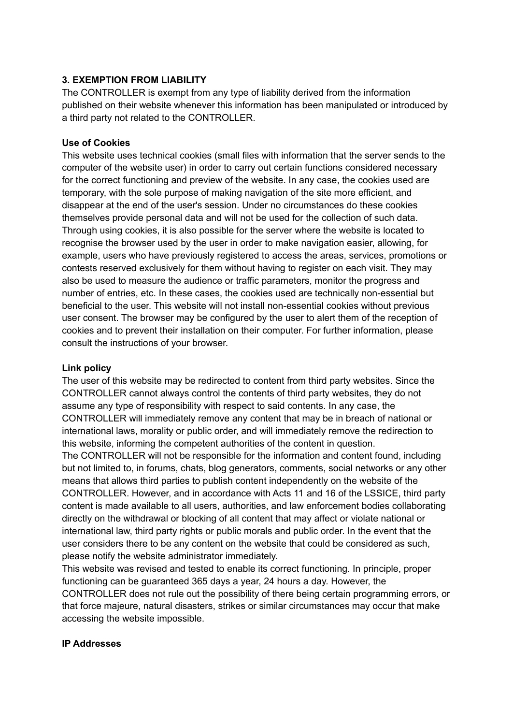## **3. EXEMPTION FROM LIABILITY**

The CONTROLLER is exempt from any type of liability derived from the information published on their website whenever this information has been manipulated or introduced by a third party not related to the CONTROLLER.

### **Use of Cookies**

This website uses technical cookies (small files with information that the server sends to the computer of the website user) in order to carry out certain functions considered necessary for the correct functioning and preview of the website. In any case, the cookies used are temporary, with the sole purpose of making navigation of the site more efficient, and disappear at the end of the user's session. Under no circumstances do these cookies themselves provide personal data and will not be used for the collection of such data. Through using cookies, it is also possible for the server where the website is located to recognise the browser used by the user in order to make navigation easier, allowing, for example, users who have previously registered to access the areas, services, promotions or contests reserved exclusively for them without having to register on each visit. They may also be used to measure the audience or traffic parameters, monitor the progress and number of entries, etc. In these cases, the cookies used are technically non-essential but beneficial to the user. This website will not install non-essential cookies without previous user consent. The browser may be configured by the user to alert them of the reception of cookies and to prevent their installation on their computer. For further information, please consult the instructions of your browser.

### **Link policy**

The user of this website may be redirected to content from third party websites. Since the CONTROLLER cannot always control the contents of third party websites, they do not assume any type of responsibility with respect to said contents. In any case, the CONTROLLER will immediately remove any content that may be in breach of national or international laws, morality or public order, and will immediately remove the redirection to this website, informing the competent authorities of the content in question. The CONTROLLER will not be responsible for the information and content found, including but not limited to, in forums, chats, blog generators, comments, social networks or any other means that allows third parties to publish content independently on the website of the CONTROLLER. However, and in accordance with Acts 11 and 16 of the LSSICE, third party content is made available to all users, authorities, and law enforcement bodies collaborating directly on the withdrawal or blocking of all content that may affect or violate national or international law, third party rights or public morals and public order. In the event that the user considers there to be any content on the website that could be considered as such, please notify the website administrator immediately.

This website was revised and tested to enable its correct functioning. In principle, proper functioning can be guaranteed 365 days a year, 24 hours a day. However, the CONTROLLER does not rule out the possibility of there being certain programming errors, or that force majeure, natural disasters, strikes or similar circumstances may occur that make accessing the website impossible.

#### **IP Addresses**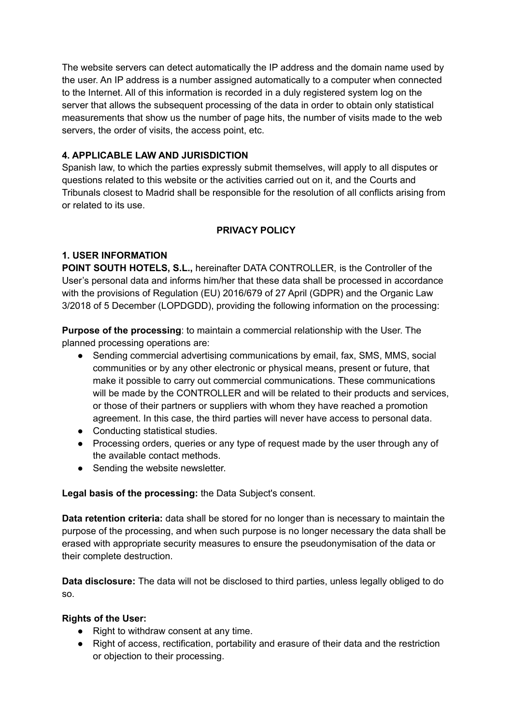The website servers can detect automatically the IP address and the domain name used by the user. An IP address is a number assigned automatically to a computer when connected to the Internet. All of this information is recorded in a duly registered system log on the server that allows the subsequent processing of the data in order to obtain only statistical measurements that show us the number of page hits, the number of visits made to the web servers, the order of visits, the access point, etc.

## **4. APPLICABLE LAW AND JURISDICTION**

Spanish law, to which the parties expressly submit themselves, will apply to all disputes or questions related to this website or the activities carried out on it, and the Courts and Tribunals closest to Madrid shall be responsible for the resolution of all conflicts arising from or related to its use.

### **PRIVACY POLICY**

## **1. USER INFORMATION**

**POINT SOUTH HOTELS, S.L.,** hereinafter DATA CONTROLLER, is the Controller of the User's personal data and informs him/her that these data shall be processed in accordance with the provisions of Regulation (EU) 2016/679 of 27 April (GDPR) and the Organic Law 3/2018 of 5 December (LOPDGDD), providing the following information on the processing:

**Purpose of the processing**: to maintain a commercial relationship with the User. The planned processing operations are:

- Sending commercial advertising communications by email, fax, SMS, MMS, social communities or by any other electronic or physical means, present or future, that make it possible to carry out commercial communications. These communications will be made by the CONTROLLER and will be related to their products and services, or those of their partners or suppliers with whom they have reached a promotion agreement. In this case, the third parties will never have access to personal data.
- Conducting statistical studies.
- Processing orders, queries or any type of request made by the user through any of the available contact methods.
- Sending the website newsletter.

#### **Legal basis of the processing:** the Data Subject's consent.

**Data retention criteria:** data shall be stored for no longer than is necessary to maintain the purpose of the processing, and when such purpose is no longer necessary the data shall be erased with appropriate security measures to ensure the pseudonymisation of the data or their complete destruction.

**Data disclosure:** The data will not be disclosed to third parties, unless legally obliged to do so.

#### **Rights of the User:**

- Right to withdraw consent at any time.
- Right of access, rectification, portability and erasure of their data and the restriction or objection to their processing.